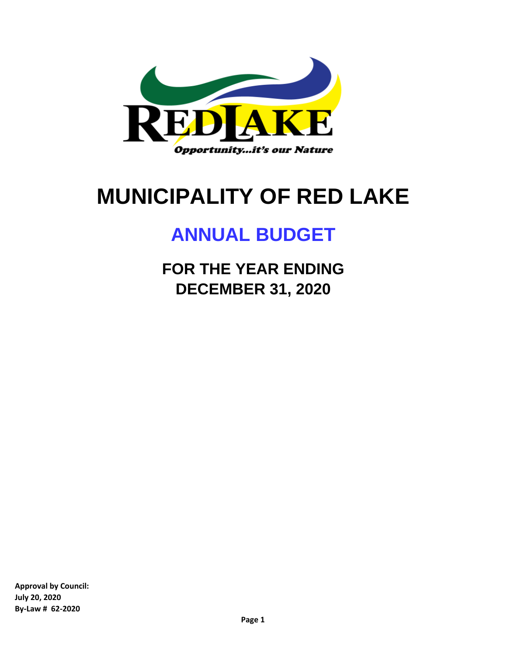

# **MUNICIPALITY OF RED LAKE**

# **ANNUAL BUDGET**

**FOR THE YEAR ENDING DECEMBER 31, 2020**

**Approval by Council: July 20, 2020 By-Law # 62-2020**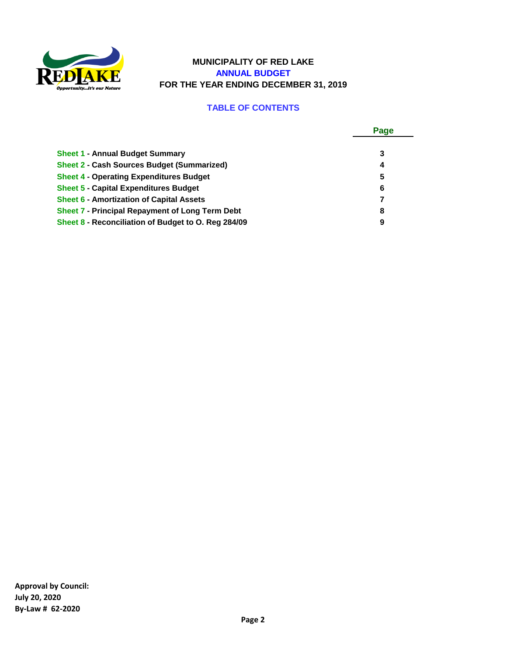

#### **MUNICIPALITY OF RED LAKE ANNUAL BUDGET FOR THE YEAR ENDING DECEMBER 31, 2019**

#### **TABLE OF CONTENTS**

|                                                        | Page |
|--------------------------------------------------------|------|
| <b>Sheet 1 - Annual Budget Summary</b>                 | 3    |
| <b>Sheet 2 - Cash Sources Budget (Summarized)</b>      | 4    |
| <b>Sheet 4 - Operating Expenditures Budget</b>         | 5    |
| <b>Sheet 5 - Capital Expenditures Budget</b>           | 6    |
| <b>Sheet 6 - Amortization of Capital Assets</b>        | 7    |
| <b>Sheet 7 - Principal Repayment of Long Term Debt</b> | 8    |
| Sheet 8 - Reconciliation of Budget to O. Reg 284/09    | 9    |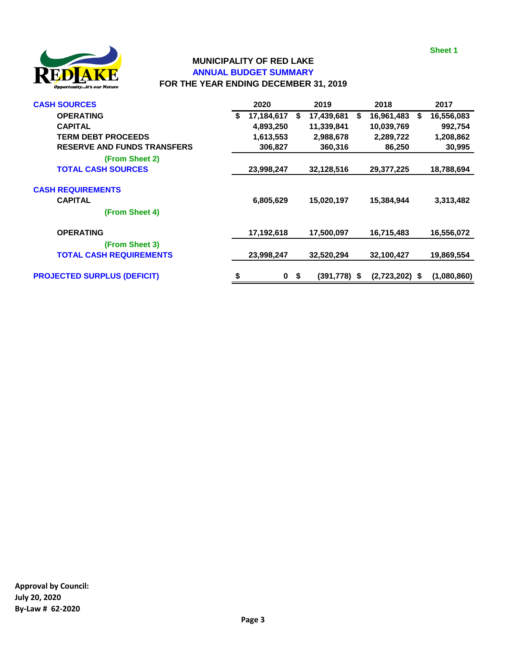**Sheet 1**



#### **MUNICIPALITY OF RED LAKE ANNUAL BUDGET SUMMARY FOR THE YEAR ENDING DECEMBER 31, 2019**

| <b>CASH SOURCES</b>                | 2020              |    | 2019           | 2018             |    | 2017        |
|------------------------------------|-------------------|----|----------------|------------------|----|-------------|
| <b>OPERATING</b>                   | \$<br>17,184,617  | S  | 17,439,681     | \$<br>16,961,483 | S. | 16,556,083  |
| <b>CAPITAL</b>                     | 4,893,250         |    | 11,339,841     | 10,039,769       |    | 992,754     |
| <b>TERM DEBT PROCEEDS</b>          | 1,613,553         |    | 2,988,678      | 2,289,722        |    | 1,208,862   |
| <b>RESERVE AND FUNDS TRANSFERS</b> | 306,827           |    | 360,316        | 86,250           |    | 30,995      |
| (From Sheet 2)                     |                   |    |                |                  |    |             |
| <b>TOTAL CASH SOURCES</b>          | 23,998,247        |    | 32,128,516     | 29,377,225       |    | 18,788,694  |
| <b>CASH REQUIREMENTS</b>           |                   |    |                |                  |    |             |
| <b>CAPITAL</b>                     | 6,805,629         |    | 15,020,197     | 15,384,944       |    | 3,313,482   |
| (From Sheet 4)                     |                   |    |                |                  |    |             |
| <b>OPERATING</b>                   | 17,192,618        |    | 17,500,097     | 16,715,483       |    | 16,556,072  |
| (From Sheet 3)                     |                   |    |                |                  |    |             |
| <b>TOTAL CASH REQUIREMENTS</b>     | 23,998,247        |    | 32,520,294     | 32,100,427       |    | 19,869,554  |
| <b>PROJECTED SURPLUS (DEFICIT)</b> | \$<br>$\mathbf 0$ | \$ | $(391,778)$ \$ | $(2,723,202)$ \$ |    | (1,080,860) |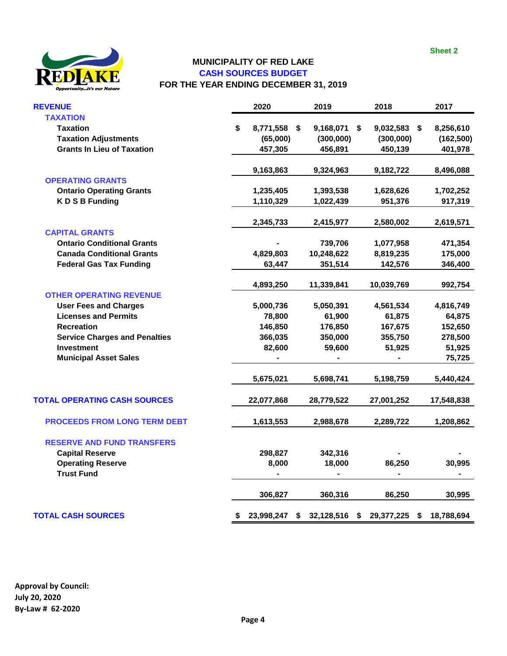

#### **MUNICIPALITY OF RED LAKE CASH SOURCES BUDGET FOR THE YEAR ENDING DECEMBER 31, 2019**

| <b>REVENUE</b>                       | 2020               | 2019             |    | 2018         |    | 2017       |
|--------------------------------------|--------------------|------------------|----|--------------|----|------------|
| <b>TAXATION</b><br><b>Taxation</b>   | \$<br>8,771,558 \$ | 9,168,071        | S  | 9,032,583 \$ |    | 8,256,610  |
| <b>Taxation Adjustments</b>          | (65,000)           | (300,000)        |    | (300,000)    |    | (162, 500) |
| <b>Grants In Lieu of Taxation</b>    | 457,305            | 456,891          |    | 450,139      |    | 401,978    |
|                                      |                    |                  |    |              |    |            |
|                                      | 9,163,863          | 9,324,963        |    | 9,182,722    |    | 8,496,088  |
| <b>OPERATING GRANTS</b>              |                    |                  |    |              |    |            |
| <b>Ontario Operating Grants</b>      | 1,235,405          | 1,393,538        |    | 1,628,626    |    | 1,702,252  |
| <b>KDSBFunding</b>                   | 1,110,329          | 1,022,439        |    | 951,376      |    | 917,319    |
|                                      | 2,345,733          | 2,415,977        |    | 2,580,002    |    | 2,619,571  |
| <b>CAPITAL GRANTS</b>                |                    |                  |    |              |    |            |
| <b>Ontario Conditional Grants</b>    |                    | 739,706          |    | 1,077,958    |    | 471,354    |
| <b>Canada Conditional Grants</b>     | 4,829,803          | 10,248,622       |    | 8,819,235    |    | 175,000    |
| <b>Federal Gas Tax Funding</b>       | 63,447             | 351,514          |    | 142,576      |    | 346,400    |
|                                      | 4,893,250          | 11,339,841       |    | 10,039,769   |    | 992,754    |
| <b>OTHER OPERATING REVENUE</b>       |                    |                  |    |              |    |            |
| <b>User Fees and Charges</b>         | 5,000,736          | 5,050,391        |    | 4,561,534    |    | 4,816,749  |
| <b>Licenses and Permits</b>          | 78,800             | 61,900           |    | 61,875       |    | 64,875     |
| <b>Recreation</b>                    | 146,850            | 176,850          |    | 167,675      |    | 152,650    |
| <b>Service Charges and Penalties</b> | 366,035            | 350,000          |    | 355,750      |    | 278,500    |
| <b>Investment</b>                    | 82,600             | 59,600           |    | 51,925       |    | 51,925     |
| <b>Municipal Asset Sales</b>         |                    |                  |    |              |    | 75,725     |
|                                      | 5,675,021          | 5,698,741        |    | 5,198,759    |    | 5,440,424  |
| <b>TOTAL OPERATING CASH SOURCES</b>  | 22,077,868         | 28,779,522       |    | 27,001,252   |    | 17,548,838 |
| <b>PROCEEDS FROM LONG TERM DEBT</b>  |                    |                  |    |              |    |            |
|                                      | 1,613,553          | 2,988,678        |    | 2,289,722    |    | 1,208,862  |
| <b>RESERVE AND FUND TRANSFERS</b>    |                    |                  |    |              |    |            |
| <b>Capital Reserve</b>               | 298,827            | 342,316          |    |              |    |            |
| <b>Operating Reserve</b>             | 8,000              | 18,000           |    | 86,250       |    | 30,995     |
| <b>Trust Fund</b>                    |                    |                  |    |              |    |            |
|                                      | 306,827            | 360,316          |    | 86,250       |    | 30,995     |
| <b>TOTAL CASH SOURCES</b>            | \$<br>23,998,247   | \$<br>32,128,516 | \$ | 29,377,225   | S. | 18,788,694 |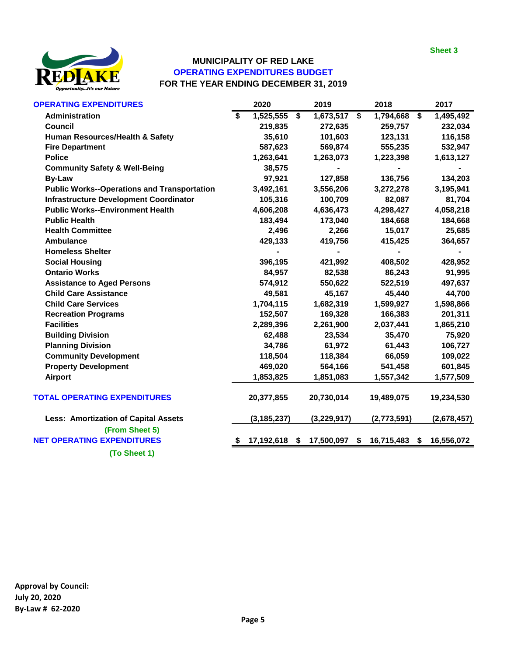

# **MUNICIPALITY OF RED LAKE OPERATING EXPENDITURES BUDGET FOR THE YEAR ENDING DECEMBER 31, 2019**

| <b>OPERATING EXPENDITURES</b>                      | 2020             | 2019               | 2018                | 2017            |
|----------------------------------------------------|------------------|--------------------|---------------------|-----------------|
| Administration                                     | \$<br>1,525,555  | \$<br>1,673,517 \$ | 1,794,668           | \$<br>1,495,492 |
| <b>Council</b>                                     | 219,835          | 272,635            | 259,757             | 232,034         |
| Human Resources/Health & Safety                    | 35,610           | 101,603            | 123,131             | 116,158         |
| <b>Fire Department</b>                             | 587,623          | 569,874            | 555,235             | 532,947         |
| <b>Police</b>                                      | 1,263,641        | 1,263,073          | 1,223,398           | 1,613,127       |
| <b>Community Safety &amp; Well-Being</b>           | 38,575           | ٠                  |                     |                 |
| <b>By-Law</b>                                      | 97,921           | 127,858            | 136,756             | 134,203         |
| <b>Public Works--Operations and Transportation</b> | 3,492,161        | 3,556,206          | 3,272,278           | 3,195,941       |
| <b>Infrastructure Development Coordinator</b>      | 105,316          | 100,709            | 82,087              | 81,704          |
| <b>Public Works--Environment Health</b>            | 4,606,208        | 4,636,473          | 4,298,427           | 4,058,218       |
| <b>Public Health</b>                               | 183,494          | 173,040            | 184,668             | 184,668         |
| <b>Health Committee</b>                            | 2,496            | 2,266              | 15,017              | 25,685          |
| <b>Ambulance</b>                                   | 429,133          | 419,756            | 415,425             | 364,657         |
| <b>Homeless Shelter</b>                            |                  |                    |                     |                 |
| <b>Social Housing</b>                              | 396,195          | 421,992            | 408,502             | 428,952         |
| <b>Ontario Works</b>                               | 84,957           | 82,538             | 86,243              | 91,995          |
| <b>Assistance to Aged Persons</b>                  | 574,912          | 550,622            | 522,519             | 497,637         |
| <b>Child Care Assistance</b>                       | 49,581           | 45,167             | 45,440              | 44,700          |
| <b>Child Care Services</b>                         | 1,704,115        | 1,682,319          | 1,599,927           | 1,598,866       |
| <b>Recreation Programs</b>                         | 152,507          | 169,328            | 166,383             | 201,311         |
| <b>Facilities</b>                                  | 2,289,396        | 2,261,900          | 2,037,441           | 1,865,210       |
| <b>Building Division</b>                           | 62,488           | 23,534             | 35,470              | 75,920          |
| <b>Planning Division</b>                           | 34,786           | 61,972             | 61,443              | 106,727         |
| <b>Community Development</b>                       | 118,504          | 118,384            | 66,059              | 109,022         |
| <b>Property Development</b>                        | 469,020          | 564,166            | 541,458             | 601,845         |
| <b>Airport</b>                                     | 1,853,825        | 1,851,083          | 1,557,342           | 1,577,509       |
| <b>TOTAL OPERATING EXPENDITURES</b>                | 20,377,855       | 20,730,014         | 19,489,075          | 19,234,530      |
| <b>Less: Amortization of Capital Assets</b>        | (3, 185, 237)    | (3, 229, 917)      | (2,773,591)         | (2,678,457)     |
| (From Sheet 5)                                     |                  |                    |                     |                 |
| <b>NET OPERATING EXPENDITURES</b>                  | \$<br>17,192,618 | \$<br>17,500,097   | \$<br>16,715,483 \$ | 16,556,072      |
| (To Sheet 1)                                       |                  |                    |                     |                 |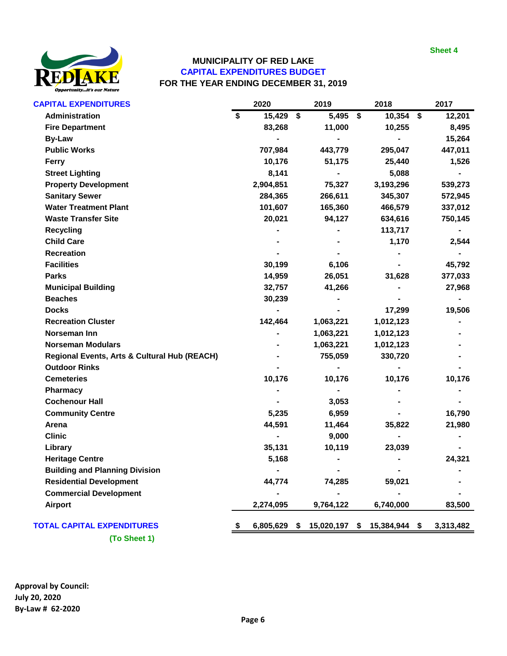

#### **MUNICIPALITY OF RED LAKE CAPITAL EXPENDITURES BUDGET FOR THE YEAR ENDING DECEMBER 31, 2019**

| <b>CAPITAL EXPENDITURES</b>                             | 2020               | 2019       | 2018                | 2017      |
|---------------------------------------------------------|--------------------|------------|---------------------|-----------|
| Administration                                          | \$<br>15,429 \$    | 5,495 \$   | $10,354$ \$         | 12,201    |
| <b>Fire Department</b>                                  | 83,268             | 11,000     | 10,255              | 8,495     |
| <b>By-Law</b>                                           |                    |            |                     | 15,264    |
| <b>Public Works</b>                                     | 707,984            | 443,779    | 295,047             | 447,011   |
| Ferry                                                   | 10,176             | 51,175     | 25,440              | 1,526     |
| <b>Street Lighting</b>                                  | 8,141              |            | 5,088               |           |
| <b>Property Development</b>                             | 2,904,851          | 75,327     | 3,193,296           | 539,273   |
| <b>Sanitary Sewer</b>                                   | 284,365            | 266,611    | 345,307             | 572,945   |
| <b>Water Treatment Plant</b>                            | 101,607            | 165,360    | 466,579             | 337,012   |
| <b>Waste Transfer Site</b>                              | 20,021             | 94,127     | 634,616             | 750,145   |
| <b>Recycling</b>                                        |                    |            | 113,717             |           |
| <b>Child Care</b>                                       |                    |            | 1,170               | 2,544     |
| <b>Recreation</b>                                       |                    |            |                     |           |
| <b>Facilities</b>                                       | 30,199             | 6,106      |                     | 45,792    |
| <b>Parks</b>                                            | 14,959             | 26,051     | 31,628              | 377,033   |
| <b>Municipal Building</b>                               | 32,757             | 41,266     |                     | 27,968    |
| <b>Beaches</b>                                          | 30,239             |            |                     |           |
| <b>Docks</b>                                            |                    |            | 17,299              | 19,506    |
| <b>Recreation Cluster</b>                               | 142,464            | 1,063,221  | 1,012,123           |           |
| Norseman Inn                                            |                    | 1,063,221  | 1,012,123           |           |
| <b>Norseman Modulars</b>                                |                    | 1,063,221  | 1,012,123           |           |
| <b>Regional Events, Arts &amp; Cultural Hub (REACH)</b> |                    | 755,059    | 330,720             |           |
| <b>Outdoor Rinks</b>                                    |                    |            |                     |           |
| <b>Cemeteries</b>                                       | 10,176             | 10,176     | 10,176              | 10,176    |
| <b>Pharmacy</b>                                         |                    |            |                     |           |
| <b>Cochenour Hall</b>                                   |                    | 3,053      |                     |           |
| <b>Community Centre</b>                                 | 5,235              | 6,959      |                     | 16,790    |
| Arena                                                   | 44,591             | 11,464     | 35,822              | 21,980    |
| <b>Clinic</b>                                           |                    | 9,000      |                     |           |
| Library                                                 | 35,131             | 10,119     | 23,039              |           |
| <b>Heritage Centre</b>                                  | 5,168              |            |                     | 24,321    |
| <b>Building and Planning Division</b>                   |                    |            |                     |           |
| <b>Residential Development</b>                          | 44,774             | 74,285     | 59,021              |           |
| <b>Commercial Development</b>                           |                    |            |                     |           |
| Airport                                                 | 2,274,095          | 9,764,122  | 6,740,000           | 83,500    |
| <b>TOTAL CAPITAL EXPENDITURES</b>                       | \$<br>6,805,629 \$ | 15,020,197 | \$<br>15,384,944 \$ | 3,313,482 |
| (To Sheet 1)                                            |                    |            |                     |           |

**Approval by Council: July 20, 2020 By-Law # 62-2020**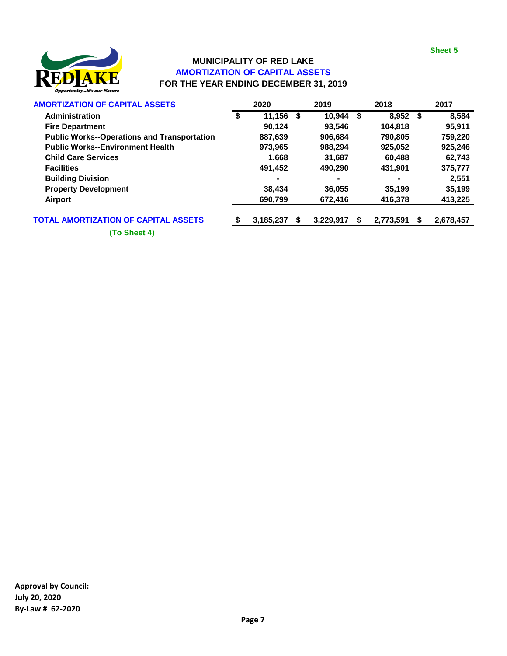

# **MUNICIPALITY OF RED LAKE AMORTIZATION OF CAPITAL ASSETS FOR THE YEAR ENDING DECEMBER 31, 2019**

| <b>AMORTIZATION OF CAPITAL ASSETS</b>              |    | 2020      |    | 2019      |   | 2018      |      | 2017      |
|----------------------------------------------------|----|-----------|----|-----------|---|-----------|------|-----------|
| Administration                                     | \$ | 11,156    | \$ | 10.944    | S | 8.952     | - \$ | 8.584     |
| <b>Fire Department</b>                             |    | 90.124    |    | 93.546    |   | 104.818   |      | 95,911    |
| <b>Public Works--Operations and Transportation</b> |    | 887,639   |    | 906,684   |   | 790,805   |      | 759,220   |
| <b>Public Works--Environment Health</b>            |    | 973.965   |    | 988.294   |   | 925.052   |      | 925,246   |
| <b>Child Care Services</b>                         |    | 1.668     |    | 31,687    |   | 60.488    |      | 62,743    |
| <b>Facilities</b>                                  |    | 491.452   |    | 490.290   |   | 431.901   |      | 375,777   |
| <b>Building Division</b>                           |    | -         |    |           |   | ۰         |      | 2,551     |
| <b>Property Development</b>                        |    | 38.434    |    | 36,055    |   | 35,199    |      | 35,199    |
| Airport                                            |    | 690,799   |    | 672,416   |   | 416,378   |      | 413,225   |
| <b>TOTAL AMORTIZATION OF CAPITAL ASSETS</b>        | S  | 3,185,237 | S  | 3.229.917 | S | 2,773,591 | S    | 2,678,457 |

**(To Sheet 4)**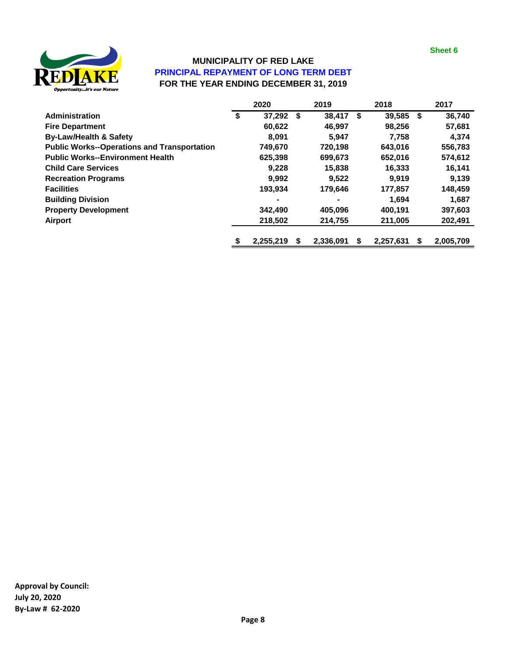

# **MUNICIPALITY OF RED LAKE PRINCIPAL REPAYMENT OF LONG TERM DEBT FOR THE YEAR ENDING DECEMBER 31, 2019**

|                                                    | 2020            | 2019            | 2018         | 2017            |
|----------------------------------------------------|-----------------|-----------------|--------------|-----------------|
| Administration                                     | \$<br>37.292    | \$<br>38.417    | \$<br>39,585 | \$<br>36,740    |
| <b>Fire Department</b>                             | 60,622          | 46,997          | 98,256       | 57,681          |
| <b>By-Law/Health &amp; Safety</b>                  | 8,091           | 5,947           | 7,758        | 4,374           |
| <b>Public Works--Operations and Transportation</b> | 749,670         | 720.198         | 643,016      | 556,783         |
| <b>Public Works--Environment Health</b>            | 625,398         | 699,673         | 652.016      | 574,612         |
| <b>Child Care Services</b>                         | 9,228           | 15,838          | 16,333       | 16,141          |
| <b>Recreation Programs</b>                         | 9.992           | 9.522           | 9.919        | 9.139           |
| <b>Facilities</b>                                  | 193,934         | 179,646         | 177,857      | 148,459         |
| <b>Building Division</b>                           |                 | ۰               | 1,694        | 1,687           |
| <b>Property Development</b>                        | 342,490         | 405.096         | 400.191      | 397,603         |
| Airport                                            | 218,502         | 214,755         | 211,005      | 202,491         |
|                                                    | \$<br>2,255,219 | \$<br>2,336,091 | 2,257,631    | \$<br>2,005,709 |